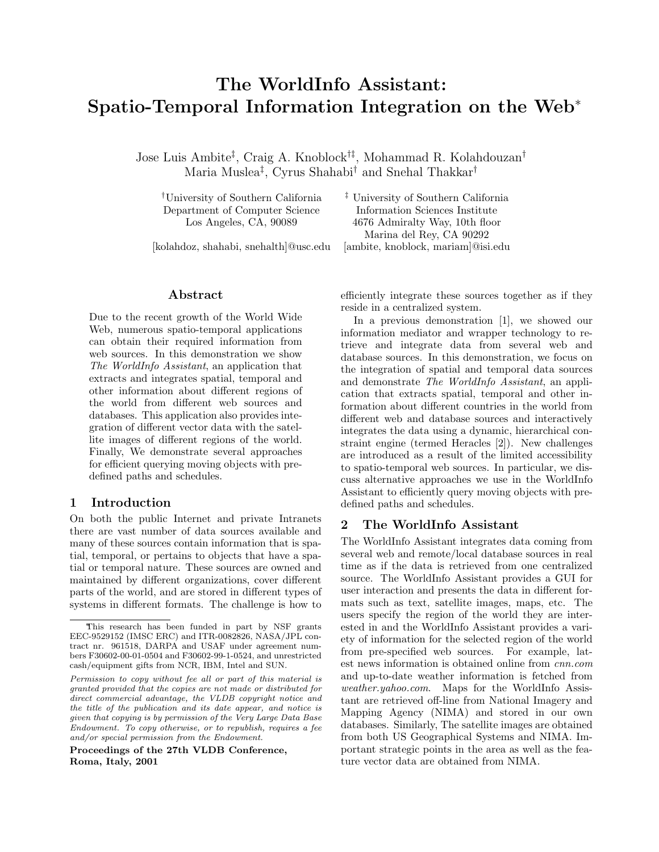# The WorldInfo Assistant: Spatio-Temporal Information Integration on the Web<sup>∗</sup>

Jose Luis Ambite‡ , Craig A. Knoblock†‡, Mohammad R. Kolahdouzan† Maria Muslea‡ , Cyrus Shahabi† and Snehal Thakkar†

†University of Southern California ‡ University of Southern California Department of Computer Science Information Sciences Institute

[kolahdoz, shahabi, snehalth]@usc.edu [ambite, knoblock, mariam]@isi.edu

Los Angeles, CA, 90089 4676 Admiralty Way, 10th floor Marina del Rey, CA 90292

#### Abstract

Due to the recent growth of the World Wide Web, numerous spatio-temporal applications can obtain their required information from web sources. In this demonstration we show The WorldInfo Assistant, an application that extracts and integrates spatial, temporal and other information about different regions of the world from different web sources and databases. This application also provides integration of different vector data with the satellite images of different regions of the world. Finally, We demonstrate several approaches for efficient querying moving objects with predefined paths and schedules.

### 1 Introduction

On both the public Internet and private Intranets there are vast number of data sources available and many of these sources contain information that is spatial, temporal, or pertains to objects that have a spatial or temporal nature. These sources are owned and maintained by different organizations, cover different parts of the world, and are stored in different types of systems in different formats. The challenge is how to

Proceedings of the 27th VLDB Conference, Roma, Italy, 2001

efficiently integrate these sources together as if they reside in a centralized system.

In a previous demonstration [1], we showed our information mediator and wrapper technology to retrieve and integrate data from several web and database sources. In this demonstration, we focus on the integration of spatial and temporal data sources and demonstrate The WorldInfo Assistant, an application that extracts spatial, temporal and other information about different countries in the world from different web and database sources and interactively integrates the data using a dynamic, hierarchical constraint engine (termed Heracles [2]). New challenges are introduced as a result of the limited accessibility to spatio-temporal web sources. In particular, we discuss alternative approaches we use in the WorldInfo Assistant to efficiently query moving objects with predefined paths and schedules.

#### 2 The WorldInfo Assistant

The WorldInfo Assistant integrates data coming from several web and remote/local database sources in real time as if the data is retrieved from one centralized source. The WorldInfo Assistant provides a GUI for user interaction and presents the data in different formats such as text, satellite images, maps, etc. The users specify the region of the world they are interested in and the WorldInfo Assistant provides a variety of information for the selected region of the world from pre-specified web sources. For example, latest news information is obtained online from cnn.com and up-to-date weather information is fetched from weather.yahoo.com. Maps for the WorldInfo Assistant are retrieved off-line from National Imagery and Mapping Agency (NIMA) and stored in our own databases. Similarly, The satellite images are obtained from both US Geographical Systems and NIMA. Important strategic points in the area as well as the feature vector data are obtained from NIMA.

<sup>∗</sup>This research has been funded in part by NSF grants EEC-9529152 (IMSC ERC) and ITR-0082826, NASA/JPL contract nr. 961518, DARPA and USAF under agreement numbers F30602-00-01-0504 and F30602-99-1-0524, and unrestricted cash/equipment gifts from NCR, IBM, Intel and SUN.

Permission to copy without fee all or part of this material is granted provided that the copies are not made or distributed for direct commercial advantage, the VLDB copyright notice and the title of the publication and its date appear, and notice is given that copying is by permission of the Very Large Data Base Endowment. To copy otherwise, or to republish, requires a fee and/or special permission from the Endowment.